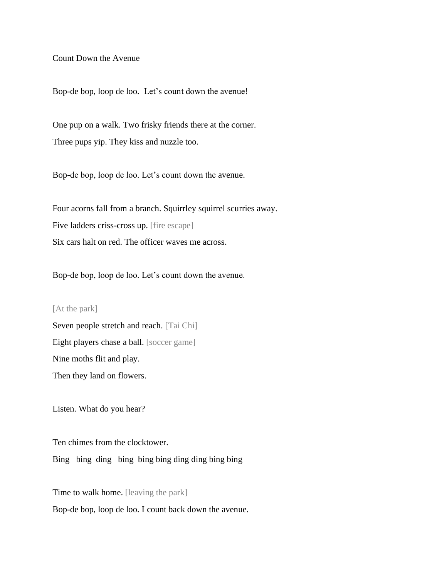Count Down the Avenue

Bop-de bop, loop de loo. Let's count down the avenue!

One pup on a walk. Two frisky friends there at the corner. Three pups yip. They kiss and nuzzle too.

Bop-de bop, loop de loo. Let's count down the avenue.

Four acorns fall from a branch. Squirrley squirrel scurries away. Five ladders criss-cross up. [fire escape] Six cars halt on red. The officer waves me across.

Bop-de bop, loop de loo. Let's count down the avenue.

## [At the park]

Seven people stretch and reach. [Tai Chi] Eight players chase a ball. [soccer game] Nine moths flit and play. Then they land on flowers.

Listen. What do you hear?

Ten chimes from the clocktower.

Bing bing ding bing bing bing ding ding bing bing

Time to walk home. [leaving the park]

Bop-de bop, loop de loo. I count back down the avenue.